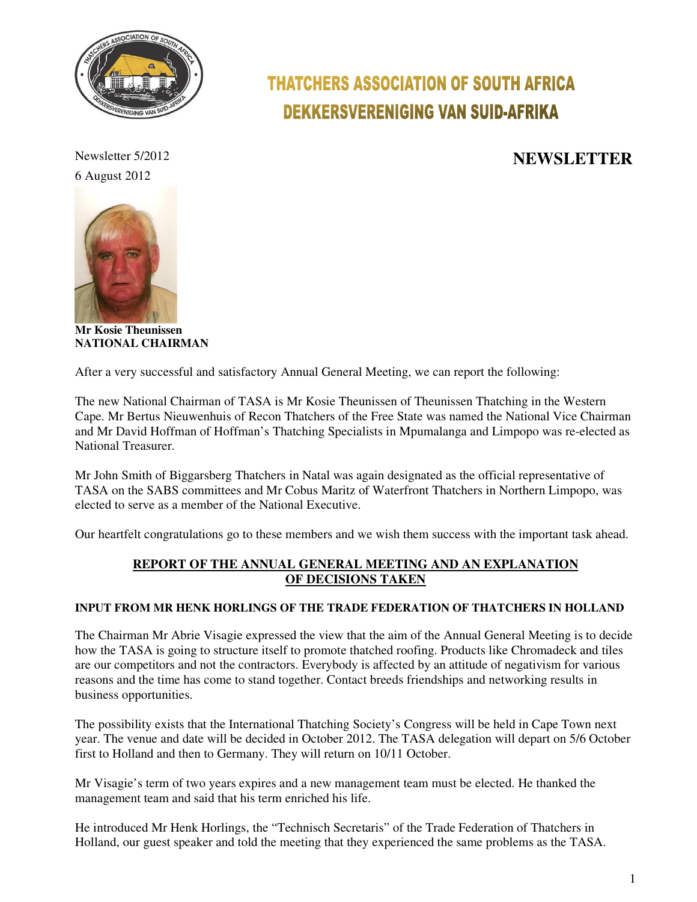

6 August 2012

**Mr Kosie Theunissen NATIONAL CHAIRMAN** 

# **THATCHERS ASSOCIATION OF SOUTH AFRICA DEKKERSVERENIGING VAN SUID-AFRIKA**

## Newsletter 5/2012 **NEWSLETTER**

After a very successful and satisfactory Annual General Meeting, we can report the following:

The new National Chairman of TASA is Mr Kosie Theunissen of Theunissen Thatching in the Western Cape. Mr Bertus Nieuwenhuis of Recon Thatchers of the Free State was named the National Vice Chairman and Mr David Hoffman of Hoffman's Thatching Specialists in Mpumalanga and Limpopo was re-elected as National Treasurer.

Mr John Smith of Biggarsberg Thatchers in Natal was again designated as the official representative of TASA on the SABS committees and Mr Cobus Maritz of Waterfront Thatchers in Northern Limpopo, was elected to serve as a member of the National Executive.

Our heartfelt congratulations go to these members and we wish them success with the important task ahead.

#### **REPORT OF THE ANNUAL GENERAL MEETING AND AN EXPLANATION OF DECISIONS TAKEN**

#### **INPUT FROM MR HENK HORLINGS OF THE TRADE FEDERATION OF THATCHERS IN HOLLAND**

The Chairman Mr Abrie Visagie expressed the view that the aim of the Annual General Meeting is to decide how the TASA is going to structure itself to promote thatched roofing. Products like Chromadeck and tiles are our competitors and not the contractors. Everybody is affected by an attitude of negativism for various reasons and the time has come to stand together. Contact breeds friendships and networking results in business opportunities.

The possibility exists that the International Thatching Society's Congress will be held in Cape Town next year. The venue and date will be decided in October 2012. The TASA delegation will depart on 5/6 October first to Holland and then to Germany. They will return on 10/11 October.

Mr Visagie's term of two years expires and a new management team must be elected. He thanked the management team and said that his term enriched his life.

He introduced Mr Henk Horlings, the "Technisch Secretaris" of the Trade Federation of Thatchers in Holland, our guest speaker and told the meeting that they experienced the same problems as the TASA.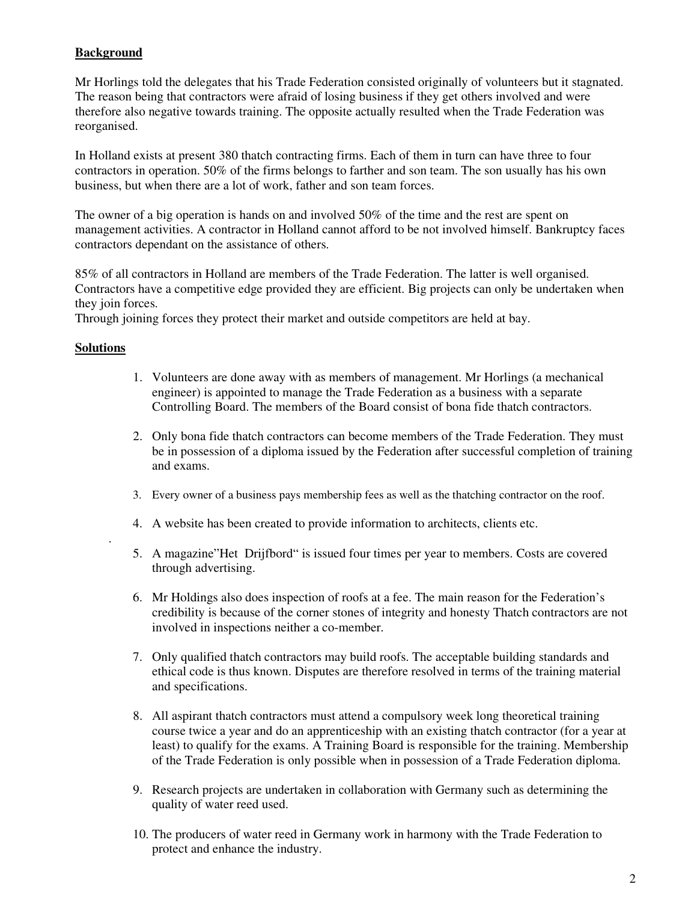### **Background**

Mr Horlings told the delegates that his Trade Federation consisted originally of volunteers but it stagnated. The reason being that contractors were afraid of losing business if they get others involved and were therefore also negative towards training. The opposite actually resulted when the Trade Federation was reorganised.

In Holland exists at present 380 thatch contracting firms. Each of them in turn can have three to four contractors in operation. 50% of the firms belongs to farther and son team. The son usually has his own business, but when there are a lot of work, father and son team forces.

The owner of a big operation is hands on and involved 50% of the time and the rest are spent on management activities. A contractor in Holland cannot afford to be not involved himself. Bankruptcy faces contractors dependant on the assistance of others.

85% of all contractors in Holland are members of the Trade Federation. The latter is well organised. Contractors have a competitive edge provided they are efficient. Big projects can only be undertaken when they join forces.

Through joining forces they protect their market and outside competitors are held at bay.

#### **Solutions**

.

- 1. Volunteers are done away with as members of management. Mr Horlings (a mechanical engineer) is appointed to manage the Trade Federation as a business with a separate Controlling Board. The members of the Board consist of bona fide thatch contractors.
- 2. Only bona fide thatch contractors can become members of the Trade Federation. They must be in possession of a diploma issued by the Federation after successful completion of training and exams.
- 3. Every owner of a business pays membership fees as well as the thatching contractor on the roof.
- 4. A website has been created to provide information to architects, clients etc.
- 5. A magazine"Het Drijfbord" is issued four times per year to members. Costs are covered through advertising.
- 6. Mr Holdings also does inspection of roofs at a fee. The main reason for the Federation's credibility is because of the corner stones of integrity and honesty Thatch contractors are not involved in inspections neither a co-member.
- 7. Only qualified thatch contractors may build roofs. The acceptable building standards and ethical code is thus known. Disputes are therefore resolved in terms of the training material and specifications.
- 8. All aspirant thatch contractors must attend a compulsory week long theoretical training course twice a year and do an apprenticeship with an existing thatch contractor (for a year at least) to qualify for the exams. A Training Board is responsible for the training. Membership of the Trade Federation is only possible when in possession of a Trade Federation diploma.
- 9. Research projects are undertaken in collaboration with Germany such as determining the quality of water reed used.
- 10. The producers of water reed in Germany work in harmony with the Trade Federation to protect and enhance the industry.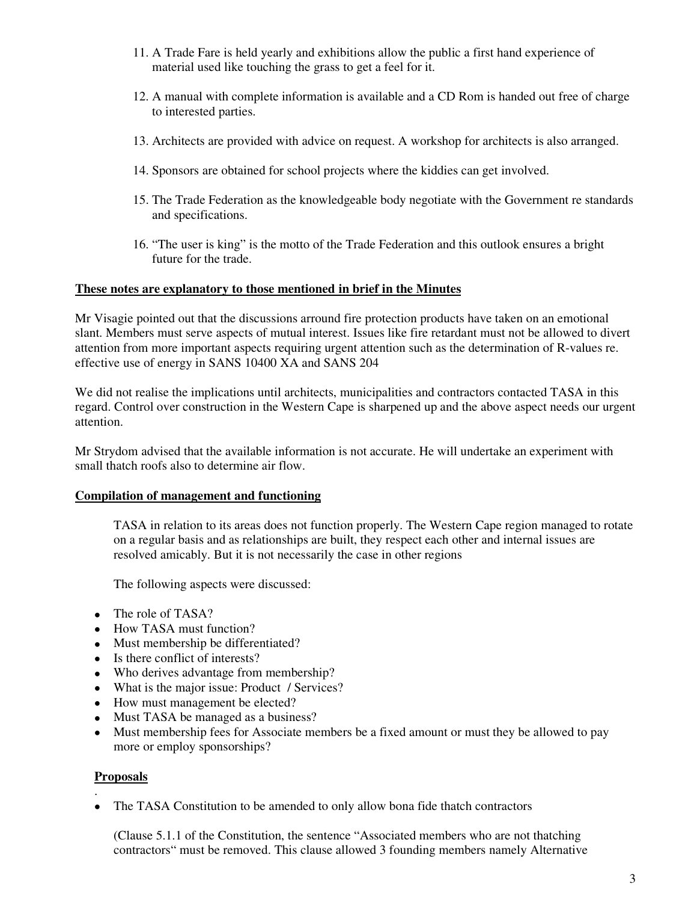- 11. A Trade Fare is held yearly and exhibitions allow the public a first hand experience of material used like touching the grass to get a feel for it.
- 12. A manual with complete information is available and a CD Rom is handed out free of charge to interested parties.
- 13. Architects are provided with advice on request. A workshop for architects is also arranged.
- 14. Sponsors are obtained for school projects where the kiddies can get involved.
- 15. The Trade Federation as the knowledgeable body negotiate with the Government re standards and specifications.
- 16. "The user is king" is the motto of the Trade Federation and this outlook ensures a bright future for the trade.

#### **These notes are explanatory to those mentioned in brief in the Minutes**

Mr Visagie pointed out that the discussions arround fire protection products have taken on an emotional slant. Members must serve aspects of mutual interest. Issues like fire retardant must not be allowed to divert attention from more important aspects requiring urgent attention such as the determination of R-values re. effective use of energy in SANS 10400 XA and SANS 204

We did not realise the implications until architects, municipalities and contractors contacted TASA in this regard. Control over construction in the Western Cape is sharpened up and the above aspect needs our urgent attention.

Mr Strydom advised that the available information is not accurate. He will undertake an experiment with small thatch roofs also to determine air flow.

#### **Compilation of management and functioning**

TASA in relation to its areas does not function properly. The Western Cape region managed to rotate on a regular basis and as relationships are built, they respect each other and internal issues are resolved amicably. But it is not necessarily the case in other regions

The following aspects were discussed:

- The role of TASA?
- How TASA must function?
- Must membership be differentiated?
- Is there conflict of interests?
- Who derives advantage from membership?
- What is the major issue: Product / Services?
- How must management be elected?
- Must TASA be managed as a business?
- Must membership fees for Associate members be a fixed amount or must they be allowed to pay more or employ sponsorships?

#### **Proposals**

. • The TASA Constitution to be amended to only allow bona fide thatch contractors

(Clause 5.1.1 of the Constitution, the sentence "Associated members who are not thatching contractors" must be removed. This clause allowed 3 founding members namely Alternative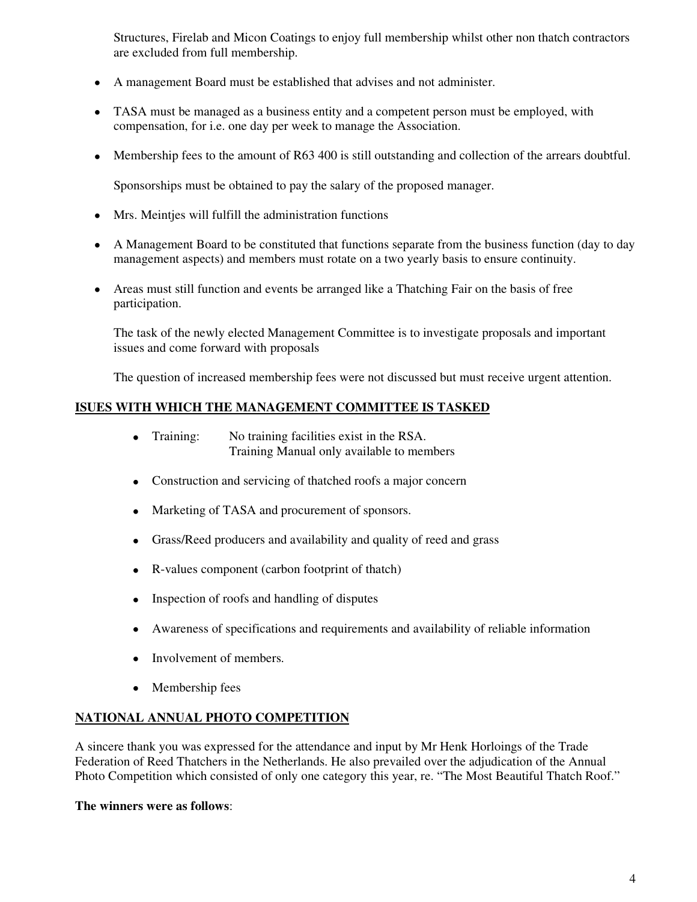Structures, Firelab and Micon Coatings to enjoy full membership whilst other non thatch contractors are excluded from full membership.

- A management Board must be established that advises and not administer.
- TASA must be managed as a business entity and a competent person must be employed, with compensation, for i.e. one day per week to manage the Association.
- Membership fees to the amount of R63 400 is still outstanding and collection of the arrears doubtful.

Sponsorships must be obtained to pay the salary of the proposed manager.

- Mrs. Meinties will fulfill the administration functions
- A Management Board to be constituted that functions separate from the business function (day to day management aspects) and members must rotate on a two yearly basis to ensure continuity.
- Areas must still function and events be arranged like a Thatching Fair on the basis of free participation.

The task of the newly elected Management Committee is to investigate proposals and important issues and come forward with proposals

The question of increased membership fees were not discussed but must receive urgent attention.

#### **ISUES WITH WHICH THE MANAGEMENT COMMITTEE IS TASKED**

- Training: No training facilities exist in the RSA. Training Manual only available to members
- Construction and servicing of thatched roofs a major concern
- Marketing of TASA and procurement of sponsors.
- Grass/Reed producers and availability and quality of reed and grass
- R-values component (carbon footprint of thatch)
- Inspection of roofs and handling of disputes
- Awareness of specifications and requirements and availability of reliable information
- Involvement of members.
- Membership fees

#### **NATIONAL ANNUAL PHOTO COMPETITION**

A sincere thank you was expressed for the attendance and input by Mr Henk Horloings of the Trade Federation of Reed Thatchers in the Netherlands. He also prevailed over the adjudication of the Annual Photo Competition which consisted of only one category this year, re. "The Most Beautiful Thatch Roof."

#### **The winners were as follows**: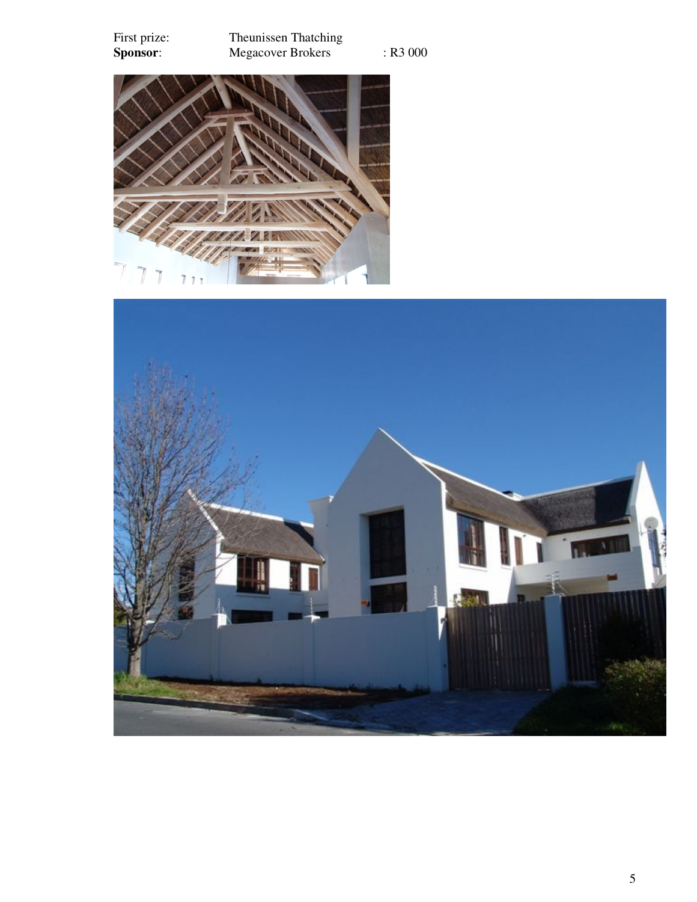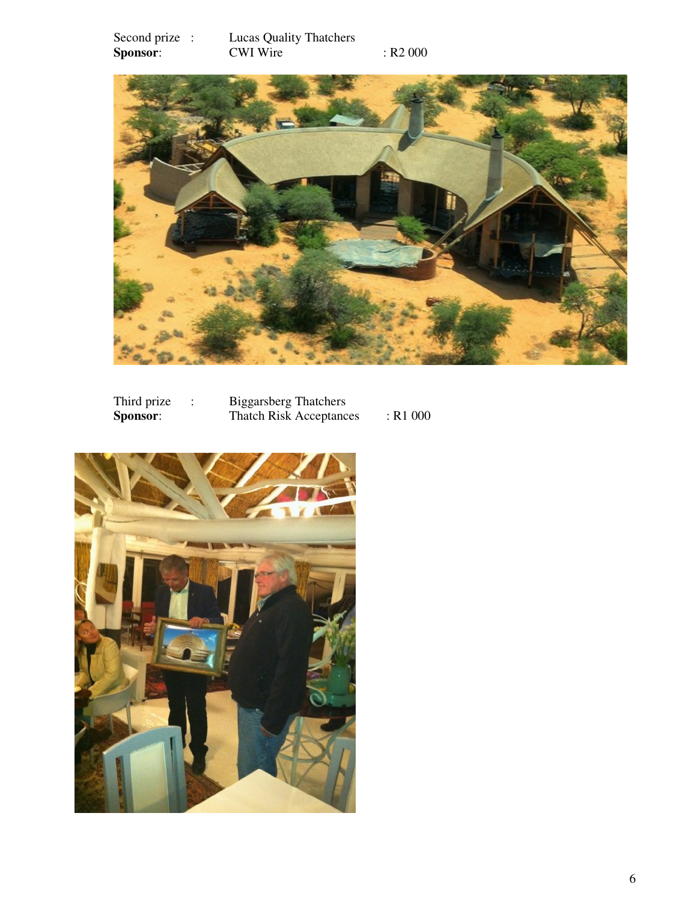Second prize : Lucas Quality Thatchers **Sponsor:** CWI Wire : R2 000



| Third prize     | <b>Biggarsberg Thatchers</b>   |            |
|-----------------|--------------------------------|------------|
| <b>Sponsor:</b> | <b>Thatch Risk Acceptances</b> | $:$ R1 000 |